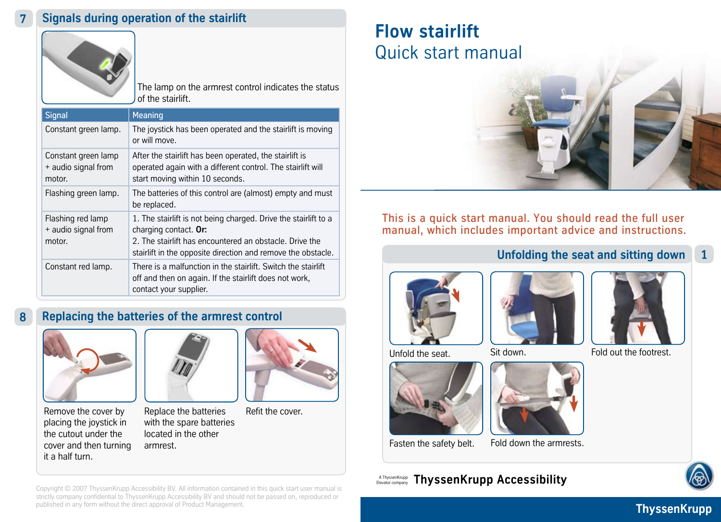

The lamp on the armrest control indicates the status of the stairlift.

| <b>Signal</b>                                        | Meaning                                                                                                                                                                                                             |
|------------------------------------------------------|---------------------------------------------------------------------------------------------------------------------------------------------------------------------------------------------------------------------|
| Constant green lamp.                                 | The joystick has been operated and the stairlift is moving<br>or will move.                                                                                                                                         |
| Constant green lamp<br>+ audio signal from<br>motor. | After the stairlift has been operated, the stairlift is<br>operated again with a different control. The stairlift will<br>start moving within 10 seconds.                                                           |
| Flashing green lamp.                                 | The batteries of this control are (almost) empty and must<br>be replaced.                                                                                                                                           |
| Flashing red lamp<br>+ audio signal from<br>motor.   | 1. The stairlift is not being charged. Drive the stairlift to a<br>charging contact. Or:<br>2. The stairlift has encountered an obstacle. Drive the<br>stairlift in the opposite direction and remove the obstacle. |
| Constant red lamp.                                   | There is a malfunction in the stairlift. Switch the stairlift<br>off and then on again. If the stairlift does not work,<br>contact your supplier.                                                                   |

# **8 Replacing the batteries of the armrest control**



Remove the cover by placing the joystick in the cutout under the cover and then turning it a half turn.



Replace the batteries with the spare batteries located in the other armrest.



Refit the cover.

# **Flow stairlift** Quick start manual



This is a quick start manual. You should read the full user manual, which includes important advice and instructions.

## **Unfolding the seat and sitting down 1**





Unfold the seat. Sit down.





**ThyssenKrupp Accessibility** Elevator company A ThyssenKrupp Elevator company



Fold out the footrest.



Copyright © 2007 ThyssenKrupp Accessibility BV. All information contained in this quick start user manual is strictly company confidential to ThyssenKrupp Accessibility BV and should not be passed on, reproduced or published in any form without the direct approval of Product Management.

**ThyssenKrupp**